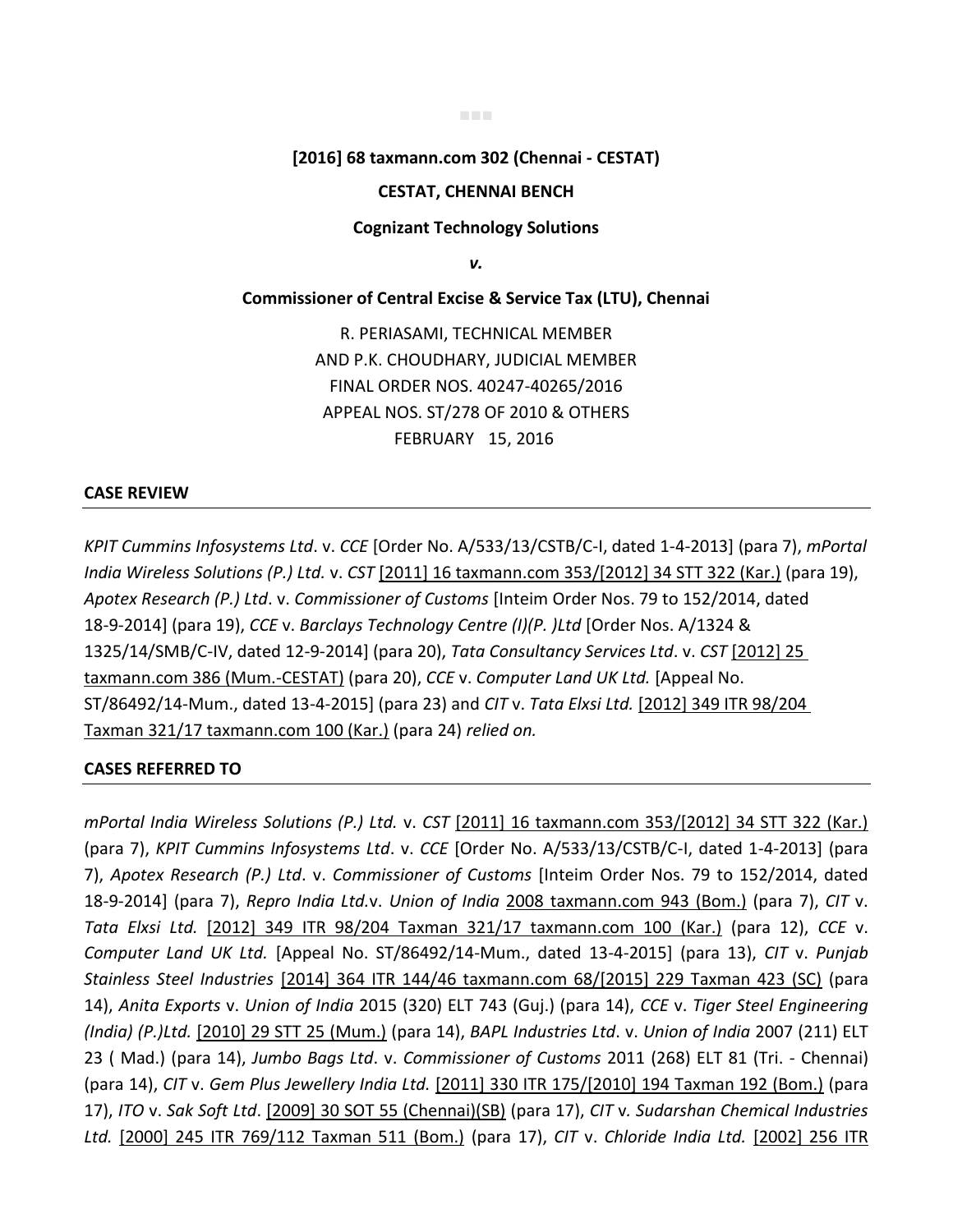# ■■■

## **[2016] 68 taxmann.com 302 (Chennai - CESTAT)**

#### **CESTAT, CHENNAI BENCH**

#### **Cognizant Technology Solutions**

*v.*

#### **Commissioner of Central Excise & Service Tax (LTU), Chennai**

R. PERIASAMI, TECHNICAL MEMBER AND P.K. CHOUDHARY, JUDICIAL MEMBER FINAL ORDER NOS. 40247-40265/2016 APPEAL NOS. ST/278 OF 2010 & OTHERS FEBRUARY 15, 2016

#### **CASE REVIEW**

*KPIT Cummins Infosystems Ltd*. v. *CCE* [Order No. A/533/13/CSTB/C-I, dated 1-4-2013] (para 7), *mPortal India Wireless Solutions (P.) Ltd.* v. *CST* [2011] 16 taxmann.com 353/[2012] 34 STT 322 (Kar.) (para 19), *Apotex Research (P.) Ltd*. v. *Commissioner of Customs* [Inteim Order Nos. 79 to 152/2014, dated 18-9-2014] (para 19), *CCE* v. *Barclays Technology Centre (I)(P. )Ltd* [Order Nos. A/1324 & 1325/14/SMB/C-IV, dated 12-9-2014] (para 20), *Tata Consultancy Services Ltd*. v. *CST* [2012] 25 taxmann.com 386 (Mum.-CESTAT) (para 20), *CCE* v. *Computer Land UK Ltd.* [Appeal No. ST/86492/14-Mum., dated 13-4-2015] (para 23) and *CIT* v. *Tata Elxsi Ltd.* [2012] 349 ITR 98/204 Taxman 321/17 taxmann.com 100 (Kar.) (para 24) *relied on.*

#### **CASES REFERRED TO**

*mPortal India Wireless Solutions (P.) Ltd.* v. *CST* [2011] 16 taxmann.com 353/[2012] 34 STT 322 (Kar.) (para 7), *KPIT Cummins Infosystems Ltd*. v. *CCE* [Order No. A/533/13/CSTB/C-I, dated 1-4-2013] (para 7), *Apotex Research (P.) Ltd*. v. *Commissioner of Customs* [Inteim Order Nos. 79 to 152/2014, dated 18-9-2014] (para 7), *Repro India Ltd.*v. *Union of India* 2008 taxmann.com 943 (Bom.) (para 7), *CIT* v. *Tata Elxsi Ltd.* [2012] 349 ITR 98/204 Taxman 321/17 taxmann.com 100 (Kar.) (para 12), *CCE* v. *Computer Land UK Ltd.* [Appeal No. ST/86492/14-Mum., dated 13-4-2015] (para 13), *CIT* v. *Punjab Stainless Steel Industries* [2014] 364 ITR 144/46 taxmann.com 68/[2015] 229 Taxman 423 (SC) (para 14), *Anita Exports* v. *Union of India* 2015 (320) ELT 743 (Guj.) (para 14), *CCE* v. *Tiger Steel Engineering (India) (P.)Ltd.* [2010] 29 STT 25 (Mum.) (para 14), *BAPL Industries Ltd*. v. *Union of India* 2007 (211) ELT 23 ( Mad.) (para 14), *Jumbo Bags Ltd*. v. *Commissioner of Customs* 2011 (268) ELT 81 (Tri. - Chennai) (para 14), *CIT* v. *Gem Plus Jewellery India Ltd.* [2011] 330 ITR 175/[2010] 194 Taxman 192 (Bom.) (para 17), *ITO* v. *Sak Soft Ltd*. [2009] 30 SOT 55 (Chennai)(SB) (para 17), *CIT* v*. Sudarshan Chemical Industries Ltd.* [2000] 245 ITR 769/112 Taxman 511 (Bom.) (para 17), *CIT* v. *Chloride India Ltd.* [2002] 256 ITR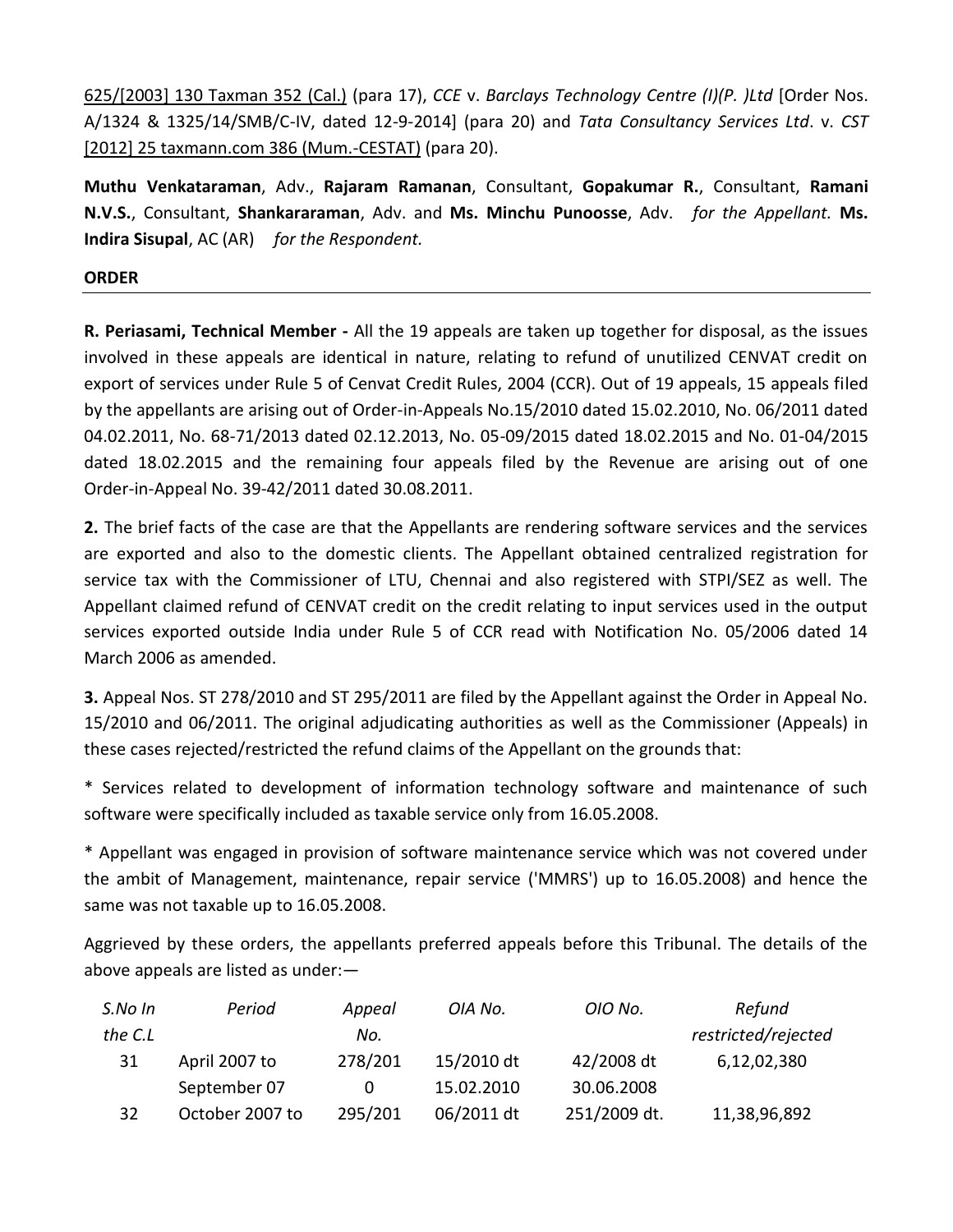625/[2003] 130 Taxman 352 (Cal.) (para 17), *CCE* v. *Barclays Technology Centre (I)(P. )Ltd* [Order Nos. A/1324 & 1325/14/SMB/C-IV, dated 12-9-2014] (para 20) and *Tata Consultancy Services Ltd*. v. *CST*  [2012] 25 taxmann.com 386 (Mum.-CESTAT) (para 20).

**Muthu Venkataraman**, Adv., **Rajaram Ramanan**, Consultant, **Gopakumar R.**, Consultant, **Ramani N.V.S.**, Consultant, **Shankararaman**, Adv. and **Ms. Minchu Punoosse**, Adv. *for the Appellant.* **Ms. Indira Sisupal**, AC (AR) *for the Respondent.*

### **ORDER**

**R. Periasami, Technical Member -** All the 19 appeals are taken up together for disposal, as the issues involved in these appeals are identical in nature, relating to refund of unutilized CENVAT credit on export of services under Rule 5 of Cenvat Credit Rules, 2004 (CCR). Out of 19 appeals, 15 appeals filed by the appellants are arising out of Order-in-Appeals No.15/2010 dated 15.02.2010, No. 06/2011 dated 04.02.2011, No. 68-71/2013 dated 02.12.2013, No. 05-09/2015 dated 18.02.2015 and No. 01-04/2015 dated 18.02.2015 and the remaining four appeals filed by the Revenue are arising out of one Order-in-Appeal No. 39-42/2011 dated 30.08.2011.

**2.** The brief facts of the case are that the Appellants are rendering software services and the services are exported and also to the domestic clients. The Appellant obtained centralized registration for service tax with the Commissioner of LTU, Chennai and also registered with STPI/SEZ as well. The Appellant claimed refund of CENVAT credit on the credit relating to input services used in the output services exported outside India under Rule 5 of CCR read with Notification No. 05/2006 dated 14 March 2006 as amended.

**3.** Appeal Nos. ST 278/2010 and ST 295/2011 are filed by the Appellant against the Order in Appeal No. 15/2010 and 06/2011. The original adjudicating authorities as well as the Commissioner (Appeals) in these cases rejected/restricted the refund claims of the Appellant on the grounds that:

\* Services related to development of information technology software and maintenance of such software were specifically included as taxable service only from 16.05.2008.

\* Appellant was engaged in provision of software maintenance service which was not covered under the ambit of Management, maintenance, repair service ('MMRS') up to 16.05.2008) and hence the same was not taxable up to 16.05.2008.

Aggrieved by these orders, the appellants preferred appeals before this Tribunal. The details of the above appeals are listed as under:—

| S.No In | Period          | Appeal  | OIA No.    | OIO No.      | Refund              |
|---------|-----------------|---------|------------|--------------|---------------------|
| the C.L |                 | No.     |            |              | restricted/rejected |
| 31      | April 2007 to   | 278/201 | 15/2010 dt | 42/2008 dt   | 6,12,02,380         |
|         | September 07    |         | 15.02.2010 | 30.06.2008   |                     |
| 32      | October 2007 to | 295/201 | 06/2011 dt | 251/2009 dt. | 11,38,96,892        |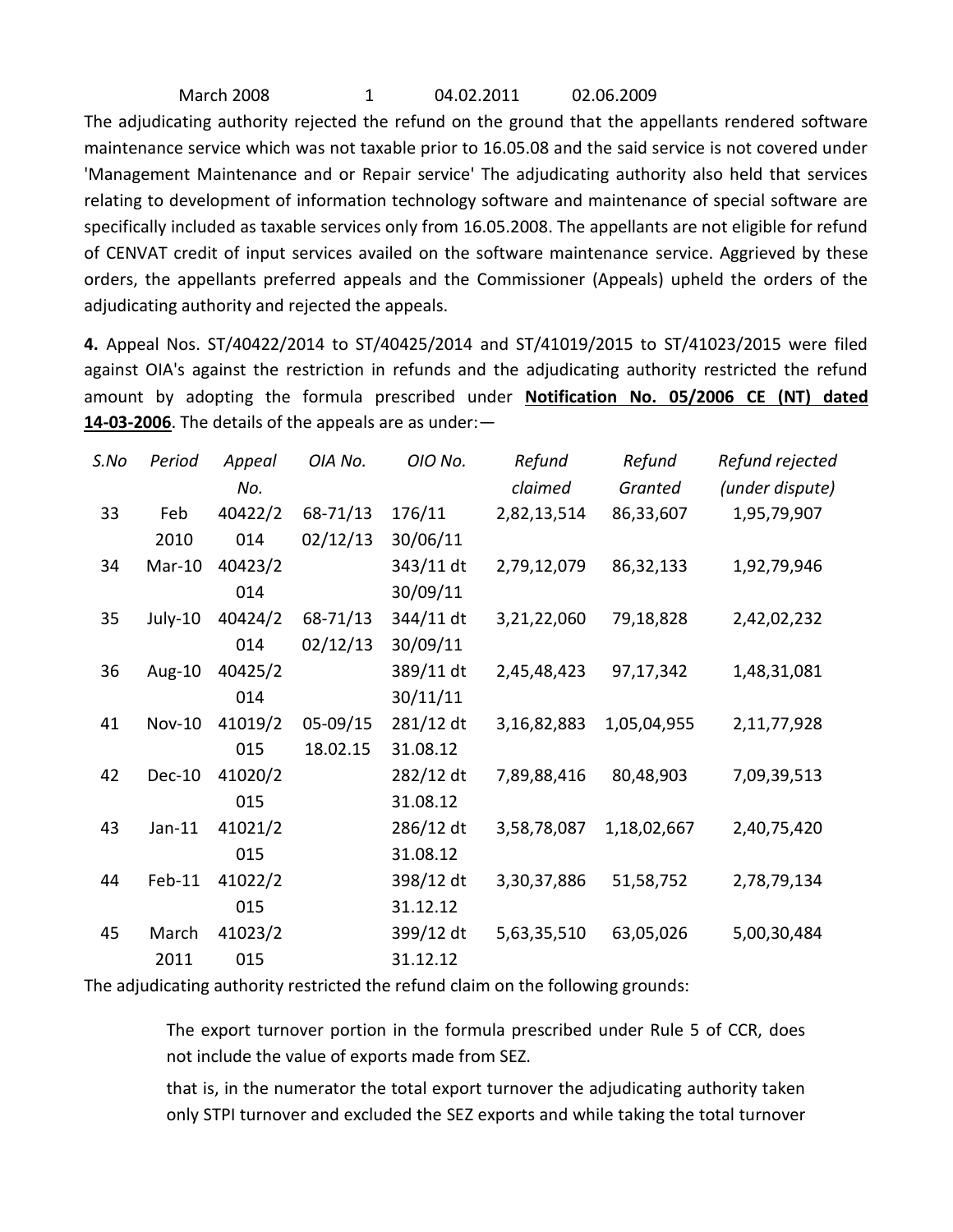March 2008 1 04.02.2011 02.06.2009 The adjudicating authority rejected the refund on the ground that the appellants rendered software maintenance service which was not taxable prior to 16.05.08 and the said service is not covered under 'Management Maintenance and or Repair service' The adjudicating authority also held that services relating to development of information technology software and maintenance of special software are specifically included as taxable services only from 16.05.2008. The appellants are not eligible for refund of CENVAT credit of input services availed on the software maintenance service. Aggrieved by these orders, the appellants preferred appeals and the Commissioner (Appeals) upheld the orders of the adjudicating authority and rejected the appeals.

**4.** Appeal Nos. ST/40422/2014 to ST/40425/2014 and ST/41019/2015 to ST/41023/2015 were filed against OIA's against the restriction in refunds and the adjudicating authority restricted the refund amount by adopting the formula prescribed under **Notification No. 05/2006 CE (NT) dated 14-03-2006**. The details of the appeals are as under:—

| S.No | Period   | Appeal  | OIA No.  | OIO No.   | Refund      | Refund      | Refund rejected |
|------|----------|---------|----------|-----------|-------------|-------------|-----------------|
|      |          | No.     |          |           | claimed     | Granted     | (under dispute) |
| 33   | Feb      | 40422/2 | 68-71/13 | 176/11    | 2,82,13,514 | 86,33,607   | 1,95,79,907     |
|      | 2010     | 014     | 02/12/13 | 30/06/11  |             |             |                 |
| 34   | $Mar-10$ | 40423/2 |          | 343/11 dt | 2,79,12,079 | 86,32,133   | 1,92,79,946     |
|      |          | 014     |          | 30/09/11  |             |             |                 |
| 35   | July-10  | 40424/2 | 68-71/13 | 344/11 dt | 3,21,22,060 | 79,18,828   | 2,42,02,232     |
|      |          | 014     | 02/12/13 | 30/09/11  |             |             |                 |
| 36   | Aug-10   | 40425/2 |          | 389/11 dt | 2,45,48,423 | 97,17,342   | 1,48,31,081     |
|      |          | 014     |          | 30/11/11  |             |             |                 |
| 41   | Nov-10   | 41019/2 | 05-09/15 | 281/12 dt | 3,16,82,883 | 1,05,04,955 | 2,11,77,928     |
|      |          | 015     | 18.02.15 | 31.08.12  |             |             |                 |
| 42   | Dec-10   | 41020/2 |          | 282/12 dt | 7,89,88,416 | 80,48,903   | 7,09,39,513     |
|      |          | 015     |          | 31.08.12  |             |             |                 |
| 43   | $Jan-11$ | 41021/2 |          | 286/12 dt | 3,58,78,087 | 1,18,02,667 | 2,40,75,420     |
|      |          | 015     |          | 31.08.12  |             |             |                 |
| 44   | Feb-11   | 41022/2 |          | 398/12 dt | 3,30,37,886 | 51,58,752   | 2,78,79,134     |
|      |          | 015     |          | 31.12.12  |             |             |                 |
| 45   | March    | 41023/2 |          | 399/12 dt | 5,63,35,510 | 63,05,026   | 5,00,30,484     |
|      | 2011     | 015     |          | 31.12.12  |             |             |                 |

The adjudicating authority restricted the refund claim on the following grounds:

 The export turnover portion in the formula prescribed under Rule 5 of CCR, does not include the value of exports made from SEZ.

 that is, in the numerator the total export turnover the adjudicating authority taken only STPI turnover and excluded the SEZ exports and while taking the total turnover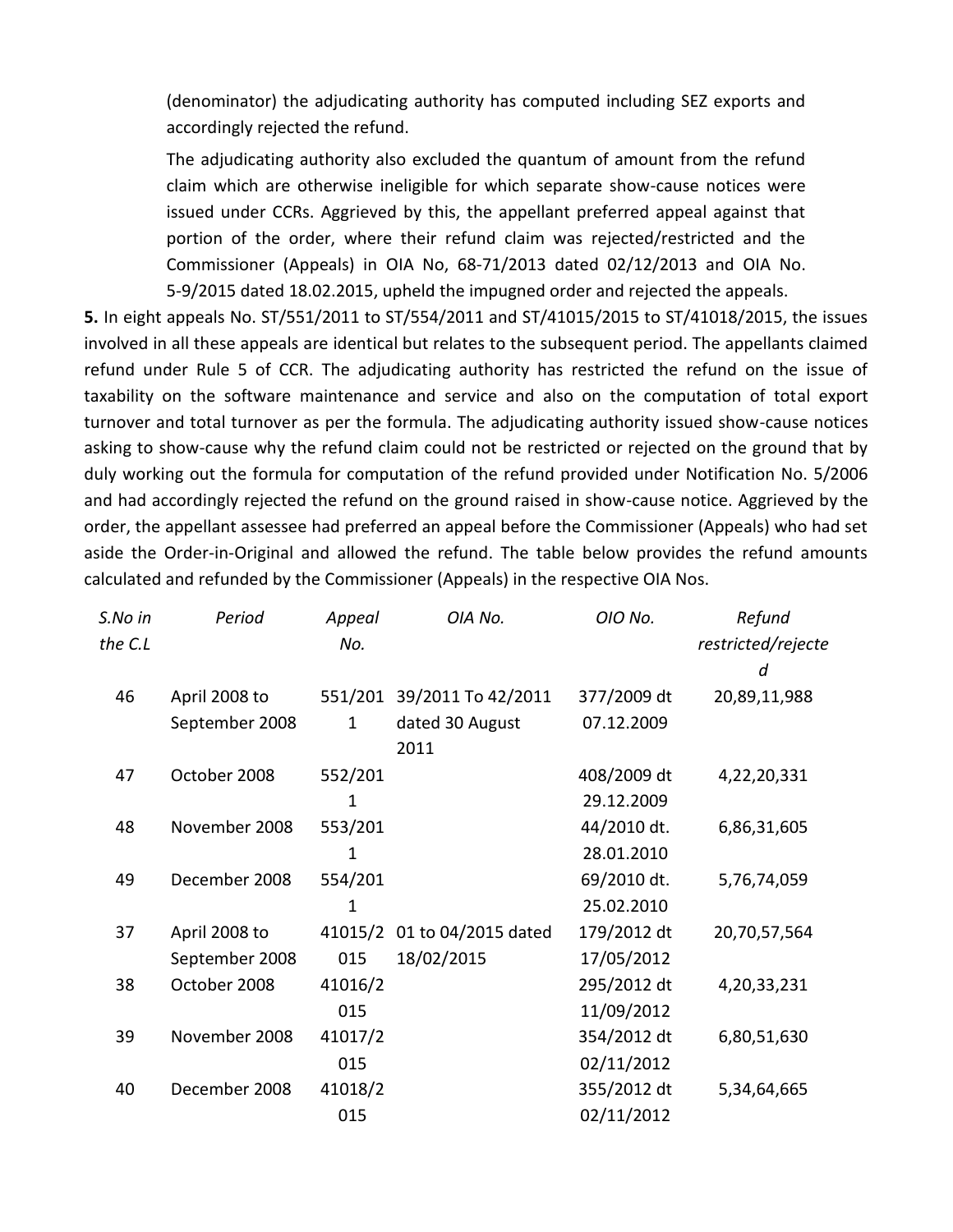(denominator) the adjudicating authority has computed including SEZ exports and accordingly rejected the refund.

 The adjudicating authority also excluded the quantum of amount from the refund claim which are otherwise ineligible for which separate show-cause notices were issued under CCRs. Aggrieved by this, the appellant preferred appeal against that portion of the order, where their refund claim was rejected/restricted and the Commissioner (Appeals) in OIA No, 68-71/2013 dated 02/12/2013 and OIA No. 5-9/2015 dated 18.02.2015, upheld the impugned order and rejected the appeals.

**5.** In eight appeals No. ST/551/2011 to ST/554/2011 and ST/41015/2015 to ST/41018/2015, the issues involved in all these appeals are identical but relates to the subsequent period. The appellants claimed refund under Rule 5 of CCR. The adjudicating authority has restricted the refund on the issue of taxability on the software maintenance and service and also on the computation of total export turnover and total turnover as per the formula. The adjudicating authority issued show-cause notices asking to show-cause why the refund claim could not be restricted or rejected on the ground that by duly working out the formula for computation of the refund provided under Notification No. 5/2006 and had accordingly rejected the refund on the ground raised in show-cause notice. Aggrieved by the order, the appellant assessee had preferred an appeal before the Commissioner (Appeals) who had set aside the Order-in-Original and allowed the refund. The table below provides the refund amounts calculated and refunded by the Commissioner (Appeals) in the respective OIA Nos.

| S.No in | Period         | Appeal       | OIA No.             | OIO No.     | Refund             |
|---------|----------------|--------------|---------------------|-------------|--------------------|
| the C.L |                | No.          |                     |             | restricted/rejecte |
|         |                |              |                     |             | d                  |
| 46      | April 2008 to  | 551/201      | 39/2011 To 42/2011  | 377/2009 dt | 20,89,11,988       |
|         | September 2008 | $\mathbf{1}$ | dated 30 August     | 07.12.2009  |                    |
|         |                |              | 2011                |             |                    |
| 47      | October 2008   | 552/201      |                     | 408/2009 dt | 4,22,20,331        |
|         |                | 1            |                     | 29.12.2009  |                    |
| 48      | November 2008  | 553/201      |                     | 44/2010 dt. | 6,86,31,605        |
|         |                | 1            |                     | 28.01.2010  |                    |
| 49      | December 2008  | 554/201      |                     | 69/2010 dt. | 5,76,74,059        |
|         |                | 1            |                     | 25.02.2010  |                    |
| 37      | April 2008 to  | 41015/2      | 01 to 04/2015 dated | 179/2012 dt | 20,70,57,564       |
|         | September 2008 | 015          | 18/02/2015          | 17/05/2012  |                    |
| 38      | October 2008   | 41016/2      |                     | 295/2012 dt | 4,20,33,231        |
|         |                | 015          |                     | 11/09/2012  |                    |
| 39      | November 2008  | 41017/2      |                     | 354/2012 dt | 6,80,51,630        |
|         |                | 015          |                     | 02/11/2012  |                    |
| 40      | December 2008  | 41018/2      |                     | 355/2012 dt | 5,34,64,665        |
|         |                | 015          |                     | 02/11/2012  |                    |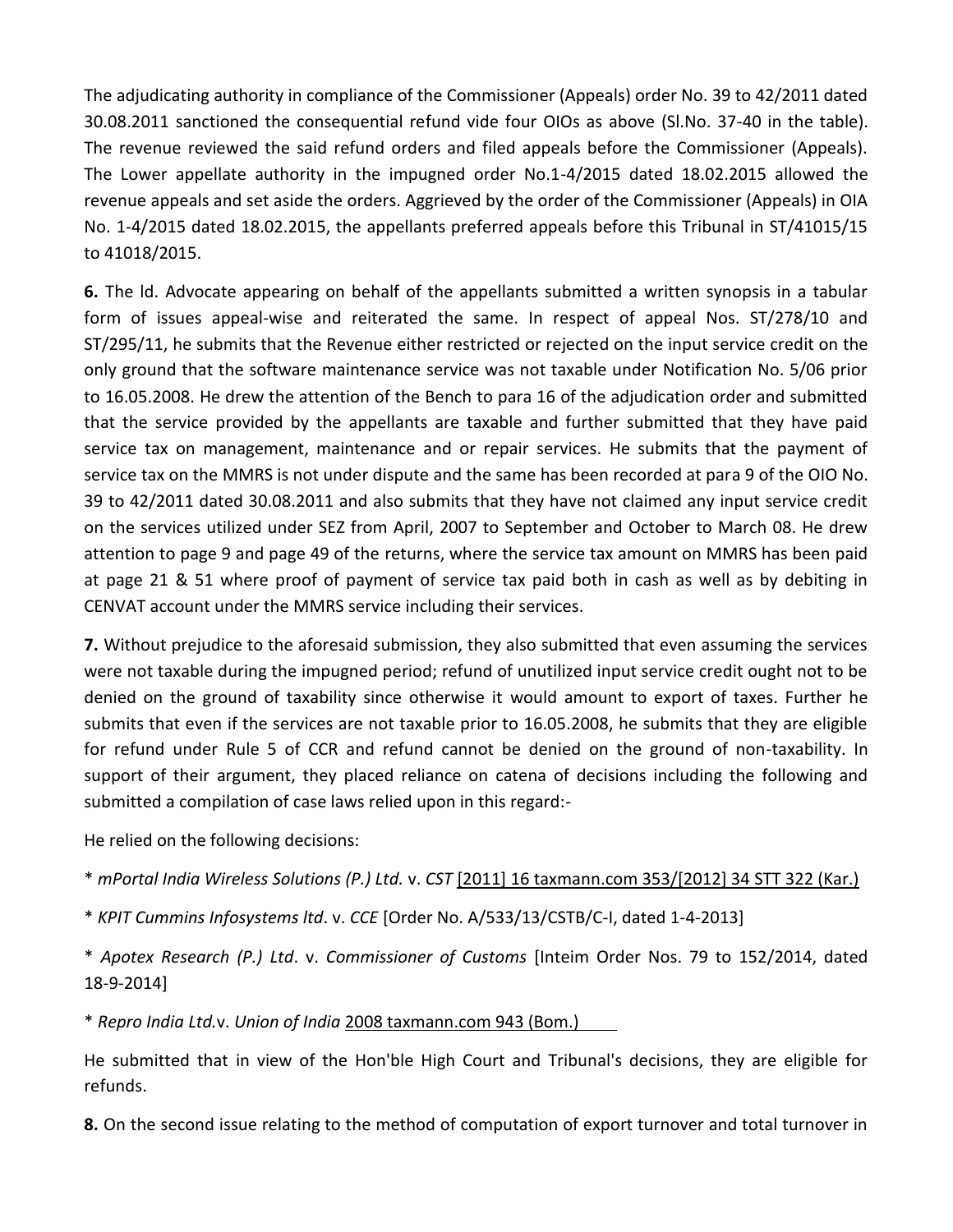The adjudicating authority in compliance of the Commissioner (Appeals) order No. 39 to 42/2011 dated 30.08.2011 sanctioned the consequential refund vide four OIOs as above (Sl.No. 37-40 in the table). The revenue reviewed the said refund orders and filed appeals before the Commissioner (Appeals). The Lower appellate authority in the impugned order No.1-4/2015 dated 18.02.2015 allowed the revenue appeals and set aside the orders. Aggrieved by the order of the Commissioner (Appeals) in OIA No. 1-4/2015 dated 18.02.2015, the appellants preferred appeals before this Tribunal in ST/41015/15 to 41018/2015.

**6.** The ld. Advocate appearing on behalf of the appellants submitted a written synopsis in a tabular form of issues appeal-wise and reiterated the same. In respect of appeal Nos. ST/278/10 and ST/295/11, he submits that the Revenue either restricted or rejected on the input service credit on the only ground that the software maintenance service was not taxable under Notification No. 5/06 prior to 16.05.2008. He drew the attention of the Bench to para 16 of the adjudication order and submitted that the service provided by the appellants are taxable and further submitted that they have paid service tax on management, maintenance and or repair services. He submits that the payment of service tax on the MMRS is not under dispute and the same has been recorded at para 9 of the OIO No. 39 to 42/2011 dated 30.08.2011 and also submits that they have not claimed any input service credit on the services utilized under SEZ from April, 2007 to September and October to March 08. He drew attention to page 9 and page 49 of the returns, where the service tax amount on MMRS has been paid at page 21 & 51 where proof of payment of service tax paid both in cash as well as by debiting in CENVAT account under the MMRS service including their services.

**7.** Without prejudice to the aforesaid submission, they also submitted that even assuming the services were not taxable during the impugned period; refund of unutilized input service credit ought not to be denied on the ground of taxability since otherwise it would amount to export of taxes. Further he submits that even if the services are not taxable prior to 16.05.2008, he submits that they are eligible for refund under Rule 5 of CCR and refund cannot be denied on the ground of non-taxability. In support of their argument, they placed reliance on catena of decisions including the following and submitted a compilation of case laws relied upon in this regard:-

He relied on the following decisions:

\* *mPortal India Wireless Solutions (P.) Ltd.* v. *CST* [2011] 16 taxmann.com 353/[2012] 34 STT 322 (Kar.)

\* *KPIT Cummins Infosystems ltd*. v. *CCE* [Order No. A/533/13/CSTB/C-I, dated 1-4-2013]

\* *Apotex Research (P.) Ltd*. v. *Commissioner of Customs* [Inteim Order Nos. 79 to 152/2014, dated 18-9-2014]

\* *Repro India Ltd.*v. *Union of India* 2008 taxmann.com 943 (Bom.)

He submitted that in view of the Hon'ble High Court and Tribunal's decisions, they are eligible for refunds.

**8.** On the second issue relating to the method of computation of export turnover and total turnover in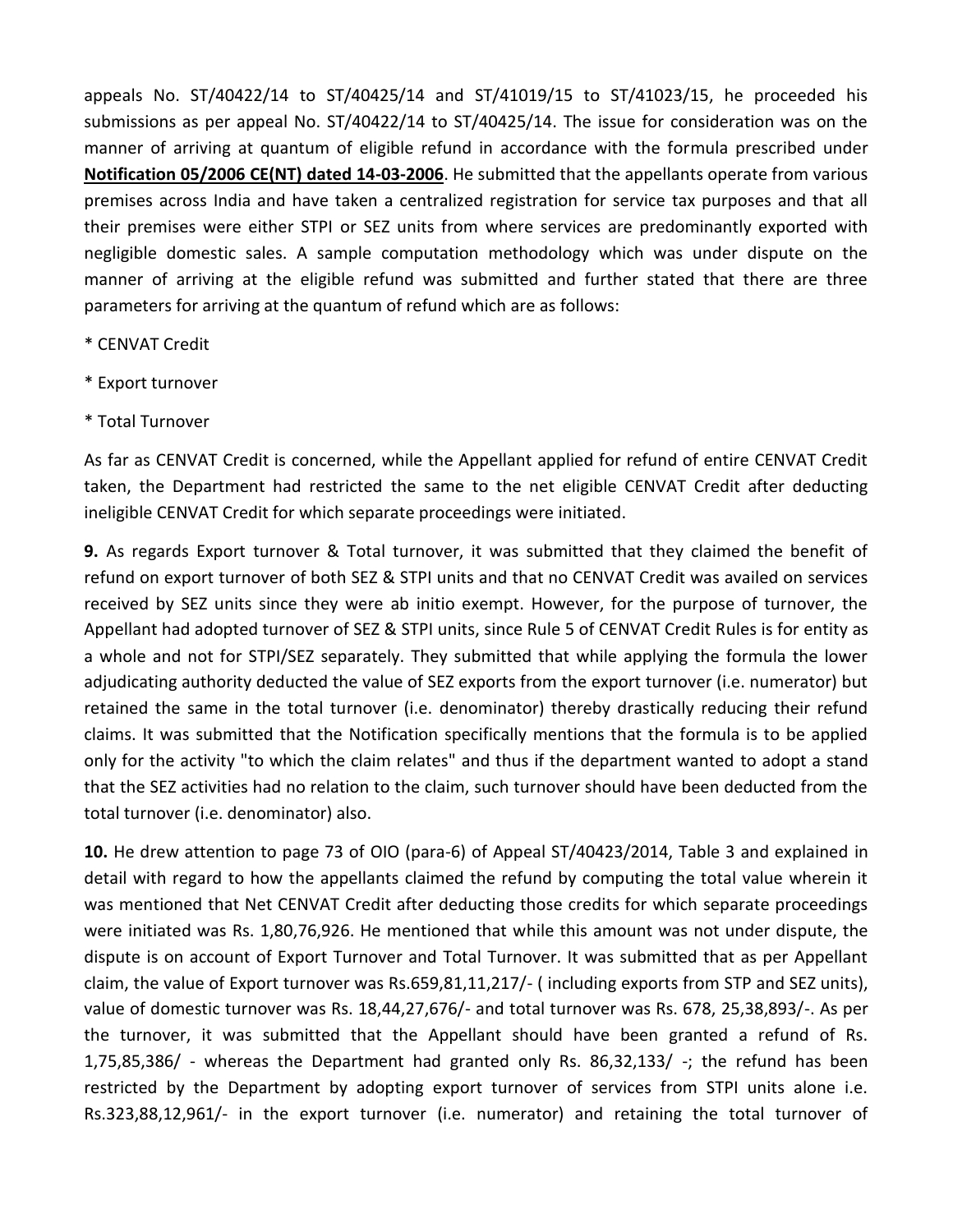appeals No. ST/40422/14 to ST/40425/14 and ST/41019/15 to ST/41023/15, he proceeded his submissions as per appeal No. ST/40422/14 to ST/40425/14. The issue for consideration was on the manner of arriving at quantum of eligible refund in accordance with the formula prescribed under **Notification 05/2006 CE(NT) dated 14-03-2006**. He submitted that the appellants operate from various premises across India and have taken a centralized registration for service tax purposes and that all their premises were either STPI or SEZ units from where services are predominantly exported with negligible domestic sales. A sample computation methodology which was under dispute on the manner of arriving at the eligible refund was submitted and further stated that there are three parameters for arriving at the quantum of refund which are as follows:

- \* CENVAT Credit
- \* Export turnover
- \* Total Turnover

As far as CENVAT Credit is concerned, while the Appellant applied for refund of entire CENVAT Credit taken, the Department had restricted the same to the net eligible CENVAT Credit after deducting ineligible CENVAT Credit for which separate proceedings were initiated.

**9.** As regards Export turnover & Total turnover, it was submitted that they claimed the benefit of refund on export turnover of both SEZ & STPI units and that no CENVAT Credit was availed on services received by SEZ units since they were ab initio exempt. However, for the purpose of turnover, the Appellant had adopted turnover of SEZ & STPI units, since Rule 5 of CENVAT Credit Rules is for entity as a whole and not for STPI/SEZ separately. They submitted that while applying the formula the lower adjudicating authority deducted the value of SEZ exports from the export turnover (i.e. numerator) but retained the same in the total turnover (i.e. denominator) thereby drastically reducing their refund claims. It was submitted that the Notification specifically mentions that the formula is to be applied only for the activity "to which the claim relates" and thus if the department wanted to adopt a stand that the SEZ activities had no relation to the claim, such turnover should have been deducted from the total turnover (i.e. denominator) also.

**10.** He drew attention to page 73 of OIO (para-6) of Appeal ST/40423/2014, Table 3 and explained in detail with regard to how the appellants claimed the refund by computing the total value wherein it was mentioned that Net CENVAT Credit after deducting those credits for which separate proceedings were initiated was Rs. 1,80,76,926. He mentioned that while this amount was not under dispute, the dispute is on account of Export Turnover and Total Turnover. It was submitted that as per Appellant claim, the value of Export turnover was Rs.659,81,11,217/- ( including exports from STP and SEZ units), value of domestic turnover was Rs. 18,44,27,676/- and total turnover was Rs. 678, 25,38,893/-. As per the turnover, it was submitted that the Appellant should have been granted a refund of Rs. 1,75,85,386/ - whereas the Department had granted only Rs. 86,32,133/ -; the refund has been restricted by the Department by adopting export turnover of services from STPI units alone i.e. Rs.323,88,12,961/- in the export turnover (i.e. numerator) and retaining the total turnover of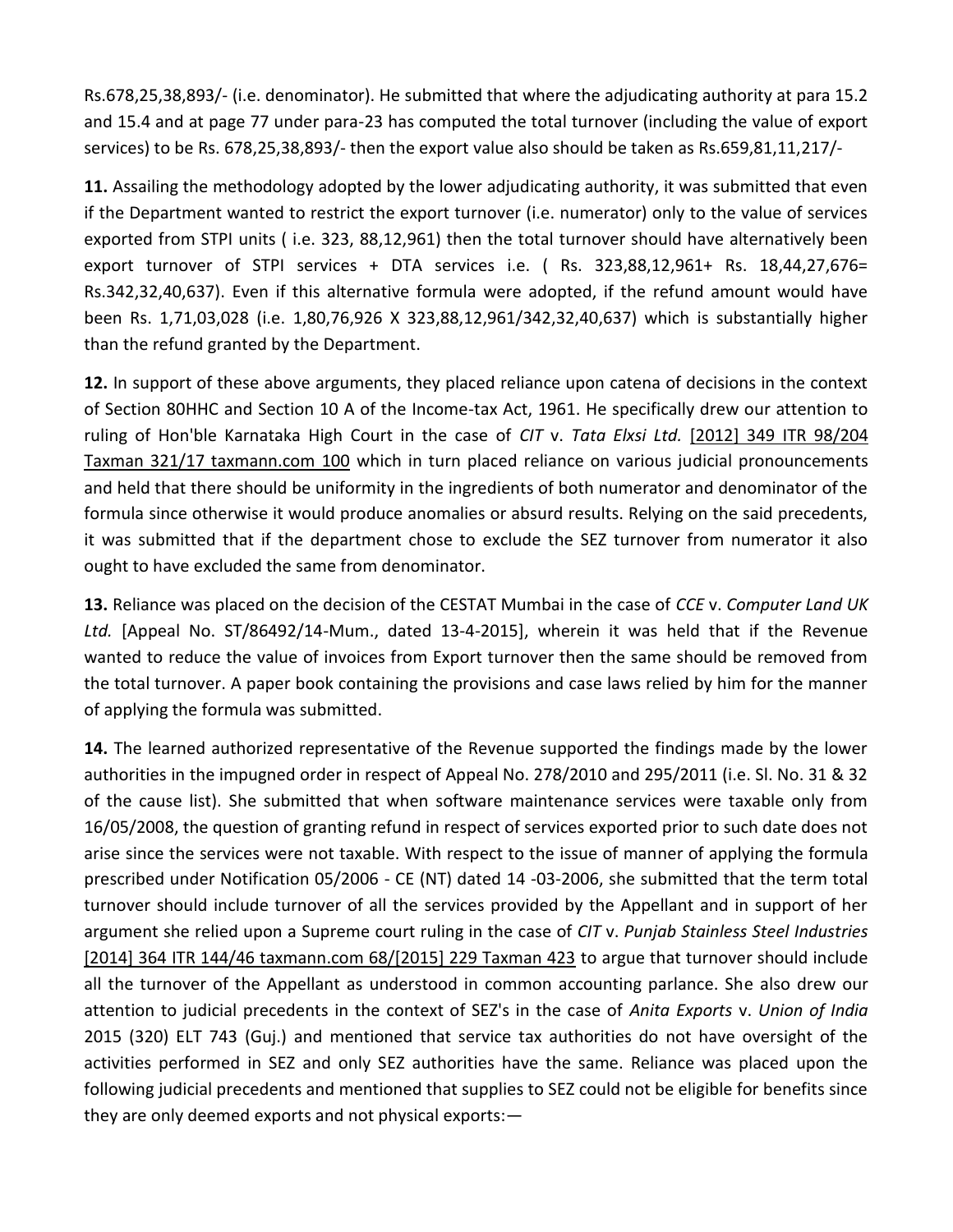Rs.678,25,38,893/- (i.e. denominator). He submitted that where the adjudicating authority at para 15.2 and 15.4 and at page 77 under para-23 has computed the total turnover (including the value of export services) to be Rs. 678,25,38,893/- then the export value also should be taken as Rs.659,81,11,217/-

**11.** Assailing the methodology adopted by the lower adjudicating authority, it was submitted that even if the Department wanted to restrict the export turnover (i.e. numerator) only to the value of services exported from STPI units ( i.e. 323, 88,12,961) then the total turnover should have alternatively been export turnover of STPI services + DTA services i.e. ( Rs. 323,88,12,961+ Rs. 18,44,27,676= Rs.342,32,40,637). Even if this alternative formula were adopted, if the refund amount would have been Rs. 1,71,03,028 (i.e. 1,80,76,926 X 323,88,12,961/342,32,40,637) which is substantially higher than the refund granted by the Department.

**12.** In support of these above arguments, they placed reliance upon catena of decisions in the context of Section 80HHC and Section 10 A of the Income-tax Act, 1961. He specifically drew our attention to ruling of Hon'ble Karnataka High Court in the case of *CIT* v. *Tata Elxsi Ltd.* [2012] 349 ITR 98/204 Taxman 321/17 taxmann.com 100 which in turn placed reliance on various judicial pronouncements and held that there should be uniformity in the ingredients of both numerator and denominator of the formula since otherwise it would produce anomalies or absurd results. Relying on the said precedents, it was submitted that if the department chose to exclude the SEZ turnover from numerator it also ought to have excluded the same from denominator.

**13.** Reliance was placed on the decision of the CESTAT Mumbai in the case of *CCE* v. *Computer Land UK Ltd.* [Appeal No. ST/86492/14-Mum., dated 13-4-2015], wherein it was held that if the Revenue wanted to reduce the value of invoices from Export turnover then the same should be removed from the total turnover. A paper book containing the provisions and case laws relied by him for the manner of applying the formula was submitted.

**14.** The learned authorized representative of the Revenue supported the findings made by the lower authorities in the impugned order in respect of Appeal No. 278/2010 and 295/2011 (i.e. Sl. No. 31 & 32 of the cause list). She submitted that when software maintenance services were taxable only from 16/05/2008, the question of granting refund in respect of services exported prior to such date does not arise since the services were not taxable. With respect to the issue of manner of applying the formula prescribed under Notification 05/2006 - CE (NT) dated 14 -03-2006, she submitted that the term total turnover should include turnover of all the services provided by the Appellant and in support of her argument she relied upon a Supreme court ruling in the case of *CIT* v. *Punjab Stainless Steel Industries*  [2014] 364 ITR 144/46 taxmann.com 68/[2015] 229 Taxman 423 to argue that turnover should include all the turnover of the Appellant as understood in common accounting parlance. She also drew our attention to judicial precedents in the context of SEZ's in the case of *Anita Exports* v. *Union of India* 2015 (320) ELT 743 (Guj.) and mentioned that service tax authorities do not have oversight of the activities performed in SEZ and only SEZ authorities have the same. Reliance was placed upon the following judicial precedents and mentioned that supplies to SEZ could not be eligible for benefits since they are only deemed exports and not physical exports:—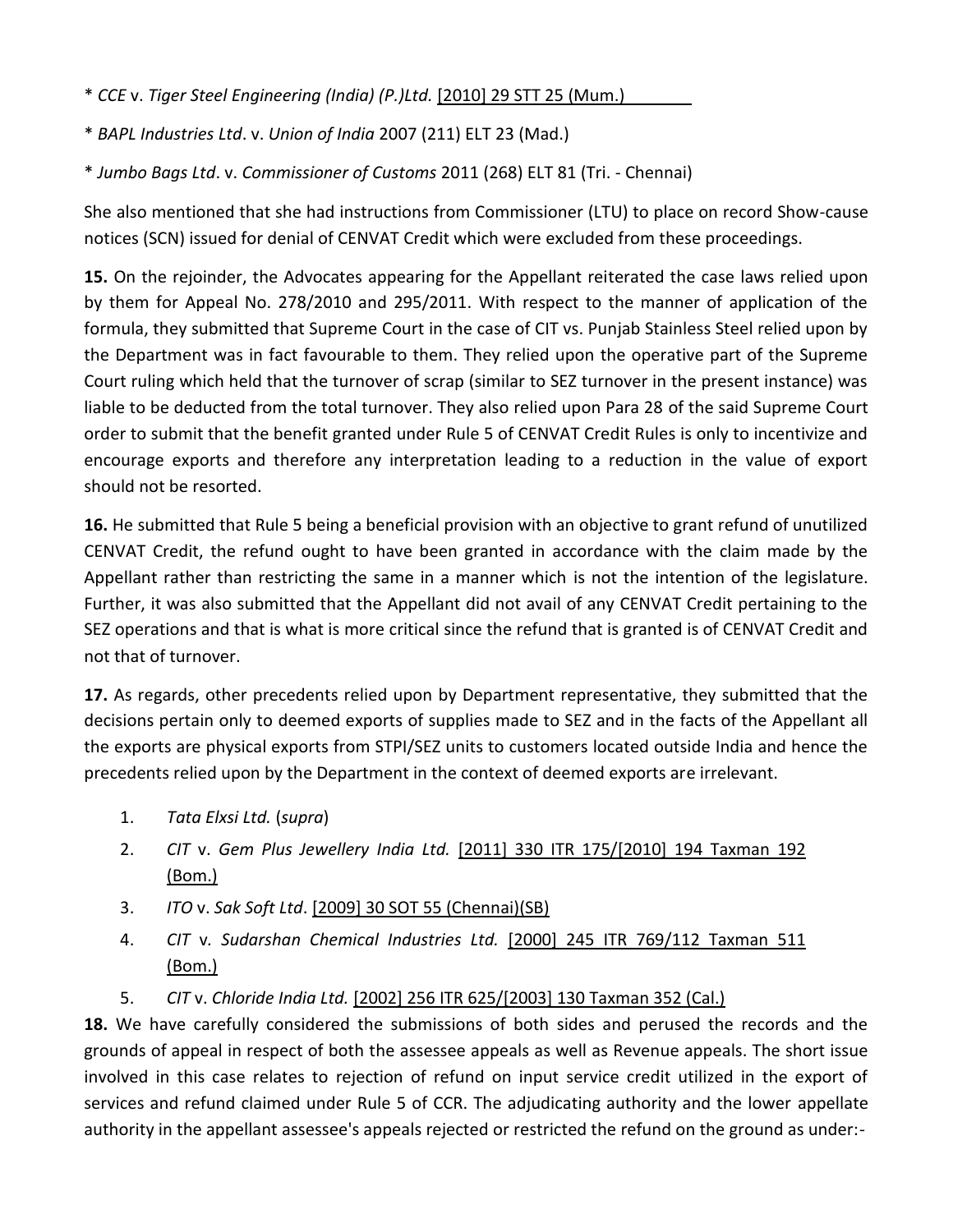- \* *CCE* v. *Tiger Steel Engineering (India) (P.)Ltd.* [2010] 29 STT 25 (Mum.)
- \* *BAPL Industries Ltd*. v. *Union of India* 2007 (211) ELT 23 (Mad.)
- \* *Jumbo Bags Ltd*. v. *Commissioner of Customs* 2011 (268) ELT 81 (Tri. Chennai)

She also mentioned that she had instructions from Commissioner (LTU) to place on record Show-cause notices (SCN) issued for denial of CENVAT Credit which were excluded from these proceedings.

**15.** On the rejoinder, the Advocates appearing for the Appellant reiterated the case laws relied upon by them for Appeal No. 278/2010 and 295/2011. With respect to the manner of application of the formula, they submitted that Supreme Court in the case of CIT vs. Punjab Stainless Steel relied upon by the Department was in fact favourable to them. They relied upon the operative part of the Supreme Court ruling which held that the turnover of scrap (similar to SEZ turnover in the present instance) was liable to be deducted from the total turnover. They also relied upon Para 28 of the said Supreme Court order to submit that the benefit granted under Rule 5 of CENVAT Credit Rules is only to incentivize and encourage exports and therefore any interpretation leading to a reduction in the value of export should not be resorted.

**16.** He submitted that Rule 5 being a beneficial provision with an objective to grant refund of unutilized CENVAT Credit, the refund ought to have been granted in accordance with the claim made by the Appellant rather than restricting the same in a manner which is not the intention of the legislature. Further, it was also submitted that the Appellant did not avail of any CENVAT Credit pertaining to the SEZ operations and that is what is more critical since the refund that is granted is of CENVAT Credit and not that of turnover.

**17.** As regards, other precedents relied upon by Department representative, they submitted that the decisions pertain only to deemed exports of supplies made to SEZ and in the facts of the Appellant all the exports are physical exports from STPI/SEZ units to customers located outside India and hence the precedents relied upon by the Department in the context of deemed exports are irrelevant.

- 1. *Tata Elxsi Ltd.* (*supra*)
- 2. *CIT* v. *Gem Plus Jewellery India Ltd.* [2011] 330 ITR 175/[2010] 194 Taxman 192 (Bom.)
- 3. *ITO* v. *Sak Soft Ltd*. [2009] 30 SOT 55 (Chennai)(SB)
- 4. *CIT* v*. Sudarshan Chemical Industries Ltd.* [2000] 245 ITR 769/112 Taxman 511 (Bom.)
- 5. *CIT* v. *Chloride India Ltd.* [2002] 256 ITR 625/[2003] 130 Taxman 352 (Cal.)

**18.** We have carefully considered the submissions of both sides and perused the records and the grounds of appeal in respect of both the assessee appeals as well as Revenue appeals. The short issue involved in this case relates to rejection of refund on input service credit utilized in the export of services and refund claimed under Rule 5 of CCR. The adjudicating authority and the lower appellate authority in the appellant assessee's appeals rejected or restricted the refund on the ground as under:-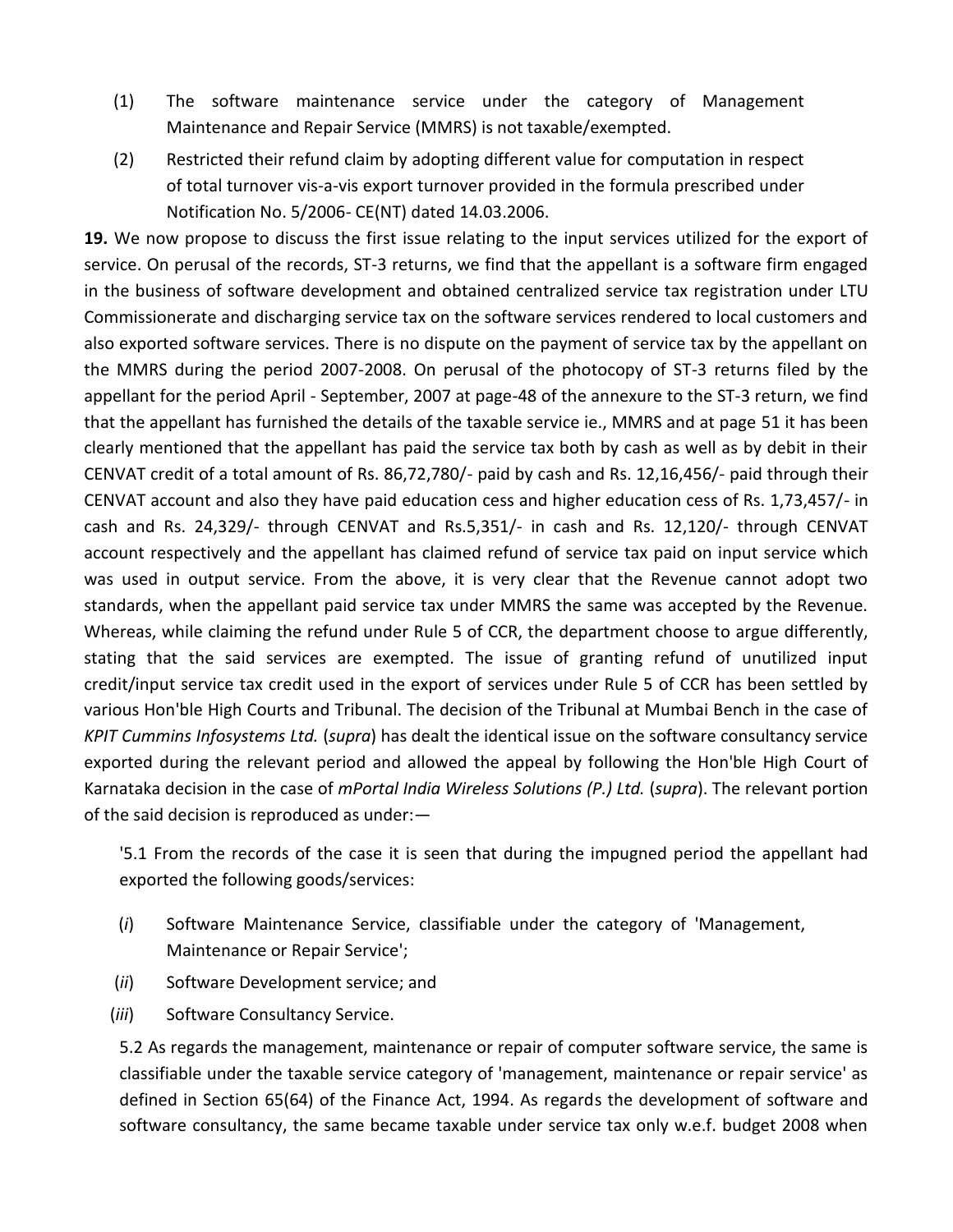- (1) The software maintenance service under the category of Management Maintenance and Repair Service (MMRS) is not taxable/exempted.
- (2) Restricted their refund claim by adopting different value for computation in respect of total turnover vis-a-vis export turnover provided in the formula prescribed under Notification No. 5/2006- CE(NT) dated 14.03.2006.

**19.** We now propose to discuss the first issue relating to the input services utilized for the export of service. On perusal of the records, ST-3 returns, we find that the appellant is a software firm engaged in the business of software development and obtained centralized service tax registration under LTU Commissionerate and discharging service tax on the software services rendered to local customers and also exported software services. There is no dispute on the payment of service tax by the appellant on the MMRS during the period 2007-2008. On perusal of the photocopy of ST-3 returns filed by the appellant for the period April - September, 2007 at page-48 of the annexure to the ST-3 return, we find that the appellant has furnished the details of the taxable service ie., MMRS and at page 51 it has been clearly mentioned that the appellant has paid the service tax both by cash as well as by debit in their CENVAT credit of a total amount of Rs. 86,72,780/- paid by cash and Rs. 12,16,456/- paid through their CENVAT account and also they have paid education cess and higher education cess of Rs. 1,73,457/- in cash and Rs. 24,329/- through CENVAT and Rs.5,351/- in cash and Rs. 12,120/- through CENVAT account respectively and the appellant has claimed refund of service tax paid on input service which was used in output service. From the above, it is very clear that the Revenue cannot adopt two standards, when the appellant paid service tax under MMRS the same was accepted by the Revenue. Whereas, while claiming the refund under Rule 5 of CCR, the department choose to argue differently, stating that the said services are exempted. The issue of granting refund of unutilized input credit/input service tax credit used in the export of services under Rule 5 of CCR has been settled by various Hon'ble High Courts and Tribunal. The decision of the Tribunal at Mumbai Bench in the case of *KPIT Cummins Infosystems Ltd.* (*supra*) has dealt the identical issue on the software consultancy service exported during the relevant period and allowed the appeal by following the Hon'ble High Court of Karnataka decision in the case of *mPortal India Wireless Solutions (P.) Ltd.* (*supra*). The relevant portion of the said decision is reproduced as under:—

'5.1 From the records of the case it is seen that during the impugned period the appellant had exported the following goods/services:

- (*i*) Software Maintenance Service, classifiable under the category of 'Management, Maintenance or Repair Service';
- (*ii*) Software Development service; and
- (*iii*) Software Consultancy Service.

5.2 As regards the management, maintenance or repair of computer software service, the same is classifiable under the taxable service category of 'management, maintenance or repair service' as defined in Section 65(64) of the Finance Act, 1994. As regards the development of software and software consultancy, the same became taxable under service tax only w.e.f. budget 2008 when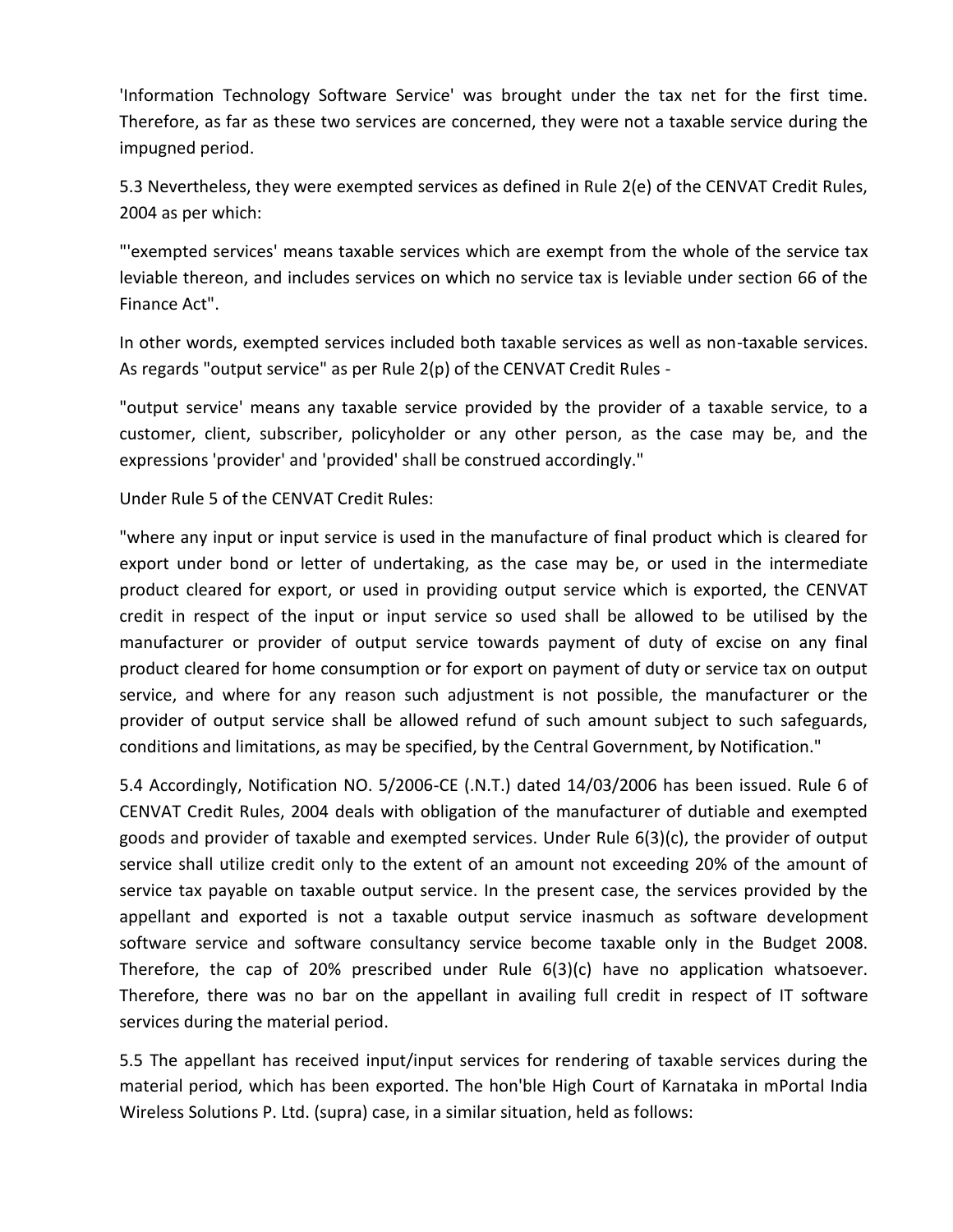'Information Technology Software Service' was brought under the tax net for the first time. Therefore, as far as these two services are concerned, they were not a taxable service during the impugned period.

5.3 Nevertheless, they were exempted services as defined in Rule 2(e) of the CENVAT Credit Rules, 2004 as per which:

"'exempted services' means taxable services which are exempt from the whole of the service tax leviable thereon, and includes services on which no service tax is leviable under section 66 of the Finance Act".

In other words, exempted services included both taxable services as well as non-taxable services. As regards "output service" as per Rule 2(p) of the CENVAT Credit Rules -

"output service' means any taxable service provided by the provider of a taxable service, to a customer, client, subscriber, policyholder or any other person, as the case may be, and the expressions 'provider' and 'provided' shall be construed accordingly."

Under Rule 5 of the CENVAT Credit Rules:

"where any input or input service is used in the manufacture of final product which is cleared for export under bond or letter of undertaking, as the case may be, or used in the intermediate product cleared for export, or used in providing output service which is exported, the CENVAT credit in respect of the input or input service so used shall be allowed to be utilised by the manufacturer or provider of output service towards payment of duty of excise on any final product cleared for home consumption or for export on payment of duty or service tax on output service, and where for any reason such adjustment is not possible, the manufacturer or the provider of output service shall be allowed refund of such amount subject to such safeguards, conditions and limitations, as may be specified, by the Central Government, by Notification."

5.4 Accordingly, Notification NO. 5/2006-CE (.N.T.) dated 14/03/2006 has been issued. Rule 6 of CENVAT Credit Rules, 2004 deals with obligation of the manufacturer of dutiable and exempted goods and provider of taxable and exempted services. Under Rule 6(3)(c), the provider of output service shall utilize credit only to the extent of an amount not exceeding 20% of the amount of service tax payable on taxable output service. In the present case, the services provided by the appellant and exported is not a taxable output service inasmuch as software development software service and software consultancy service become taxable only in the Budget 2008. Therefore, the cap of 20% prescribed under Rule 6(3)(c) have no application whatsoever. Therefore, there was no bar on the appellant in availing full credit in respect of IT software services during the material period.

5.5 The appellant has received input/input services for rendering of taxable services during the material period, which has been exported. The hon'ble High Court of Karnataka in mPortal India Wireless Solutions P. Ltd. (supra) case, in a similar situation, held as follows: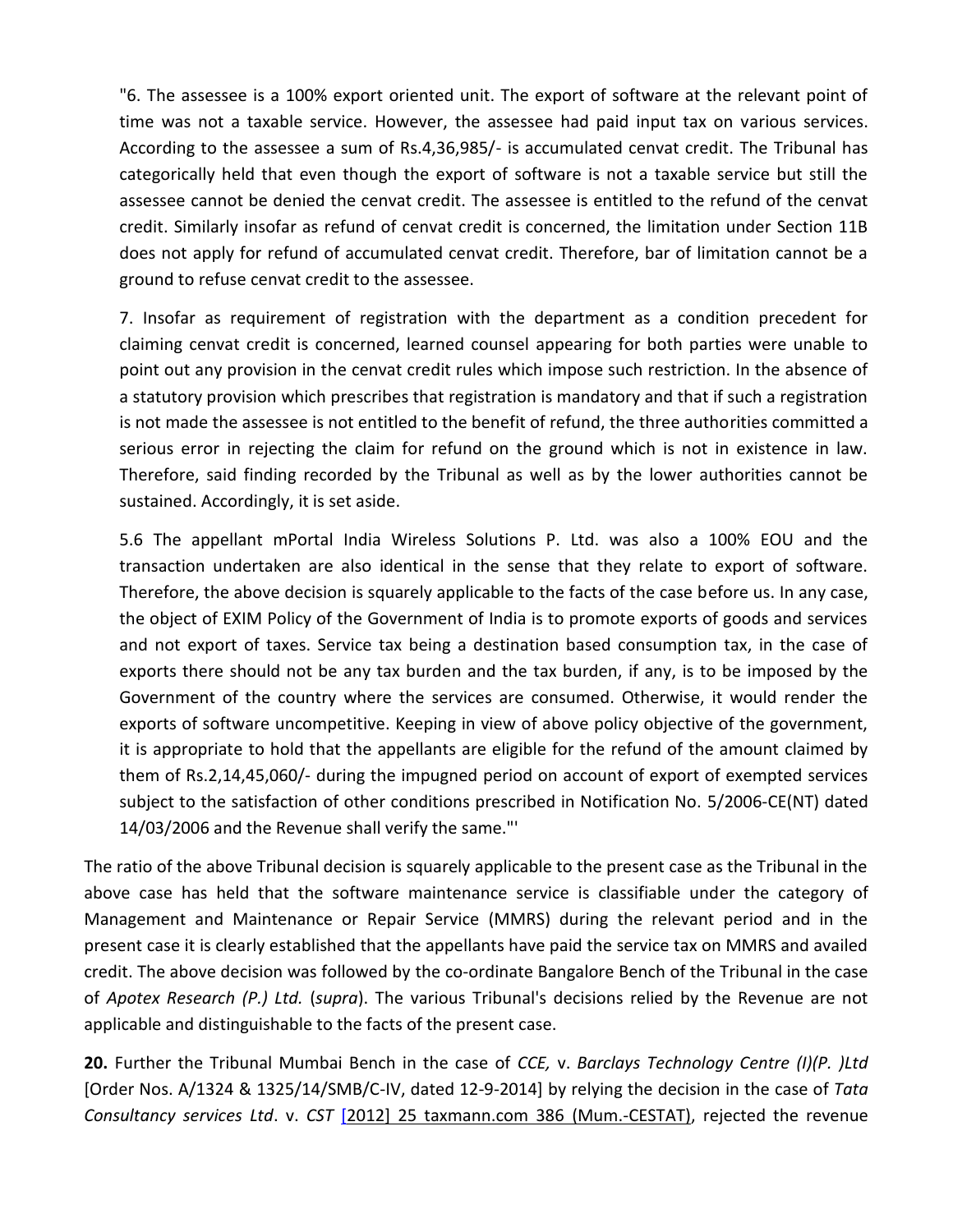"6. The assessee is a 100% export oriented unit. The export of software at the relevant point of time was not a taxable service. However, the assessee had paid input tax on various services. According to the assessee a sum of Rs.4,36,985/- is accumulated cenvat credit. The Tribunal has categorically held that even though the export of software is not a taxable service but still the assessee cannot be denied the cenvat credit. The assessee is entitled to the refund of the cenvat credit. Similarly insofar as refund of cenvat credit is concerned, the limitation under Section 11B does not apply for refund of accumulated cenvat credit. Therefore, bar of limitation cannot be a ground to refuse cenvat credit to the assessee.

7. Insofar as requirement of registration with the department as a condition precedent for claiming cenvat credit is concerned, learned counsel appearing for both parties were unable to point out any provision in the cenvat credit rules which impose such restriction. In the absence of a statutory provision which prescribes that registration is mandatory and that if such a registration is not made the assessee is not entitled to the benefit of refund, the three authorities committed a serious error in rejecting the claim for refund on the ground which is not in existence in law. Therefore, said finding recorded by the Tribunal as well as by the lower authorities cannot be sustained. Accordingly, it is set aside.

5.6 The appellant mPortal India Wireless Solutions P. Ltd. was also a 100% EOU and the transaction undertaken are also identical in the sense that they relate to export of software. Therefore, the above decision is squarely applicable to the facts of the case before us. In any case, the object of EXIM Policy of the Government of India is to promote exports of goods and services and not export of taxes. Service tax being a destination based consumption tax, in the case of exports there should not be any tax burden and the tax burden, if any, is to be imposed by the Government of the country where the services are consumed. Otherwise, it would render the exports of software uncompetitive. Keeping in view of above policy objective of the government, it is appropriate to hold that the appellants are eligible for the refund of the amount claimed by them of Rs.2,14,45,060/- during the impugned period on account of export of exempted services subject to the satisfaction of other conditions prescribed in Notification No. 5/2006-CE(NT) dated 14/03/2006 and the Revenue shall verify the same."'

The ratio of the above Tribunal decision is squarely applicable to the present case as the Tribunal in the above case has held that the software maintenance service is classifiable under the category of Management and Maintenance or Repair Service (MMRS) during the relevant period and in the present case it is clearly established that the appellants have paid the service tax on MMRS and availed credit. The above decision was followed by the co-ordinate Bangalore Bench of the Tribunal in the case of *Apotex Research (P.) Ltd.* (*supra*). The various Tribunal's decisions relied by the Revenue are not applicable and distinguishable to the facts of the present case.

**20.** Further the Tribunal Mumbai Bench in the case of *CCE,* v. *Barclays Technology Centre (I)(P. )Ltd* [Order Nos. A/1324 & 1325/14/SMB/C-IV, dated 12-9-2014] by relying the decision in the case of *Tata Consultancy services Ltd*. v. *CST* [2012] 25 taxmann.com 386 (Mum.-CESTAT), rejected the revenue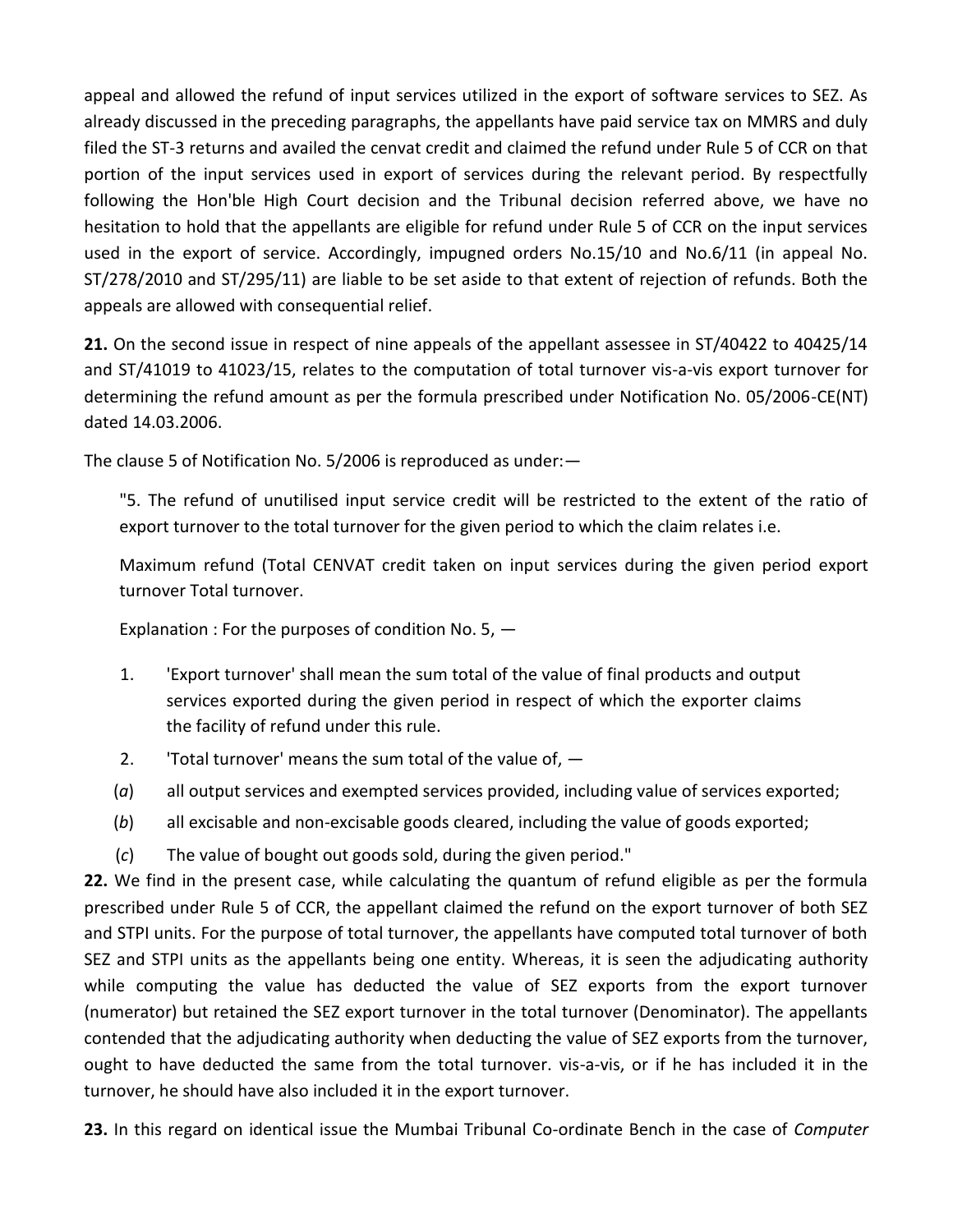appeal and allowed the refund of input services utilized in the export of software services to SEZ. As already discussed in the preceding paragraphs, the appellants have paid service tax on MMRS and duly filed the ST-3 returns and availed the cenvat credit and claimed the refund under Rule 5 of CCR on that portion of the input services used in export of services during the relevant period. By respectfully following the Hon'ble High Court decision and the Tribunal decision referred above, we have no hesitation to hold that the appellants are eligible for refund under Rule 5 of CCR on the input services used in the export of service. Accordingly, impugned orders No.15/10 and No.6/11 (in appeal No. ST/278/2010 and ST/295/11) are liable to be set aside to that extent of rejection of refunds. Both the appeals are allowed with consequential relief.

**21.** On the second issue in respect of nine appeals of the appellant assessee in ST/40422 to 40425/14 and ST/41019 to 41023/15, relates to the computation of total turnover vis-a-vis export turnover for determining the refund amount as per the formula prescribed under Notification No. 05/2006-CE(NT) dated 14.03.2006.

The clause 5 of Notification No. 5/2006 is reproduced as under:—

"5. The refund of unutilised input service credit will be restricted to the extent of the ratio of export turnover to the total turnover for the given period to which the claim relates i.e.

Maximum refund (Total CENVAT credit taken on input services during the given period export turnover Total turnover.

Explanation : For the purposes of condition No. 5, —

- 1. 'Export turnover' shall mean the sum total of the value of final products and output services exported during the given period in respect of which the exporter claims the facility of refund under this rule.
- 2. Total turnover' means the sum total of the value of,  $-$
- (*a*) all output services and exempted services provided, including value of services exported;
- (*b*) all excisable and non-excisable goods cleared, including the value of goods exported;
- (*c*) The value of bought out goods sold, during the given period."

**22.** We find in the present case, while calculating the quantum of refund eligible as per the formula prescribed under Rule 5 of CCR, the appellant claimed the refund on the export turnover of both SEZ and STPI units. For the purpose of total turnover, the appellants have computed total turnover of both SEZ and STPI units as the appellants being one entity. Whereas, it is seen the adjudicating authority while computing the value has deducted the value of SEZ exports from the export turnover (numerator) but retained the SEZ export turnover in the total turnover (Denominator). The appellants contended that the adjudicating authority when deducting the value of SEZ exports from the turnover, ought to have deducted the same from the total turnover. vis-a-vis, or if he has included it in the turnover, he should have also included it in the export turnover.

**23.** In this regard on identical issue the Mumbai Tribunal Co-ordinate Bench in the case of *Computer*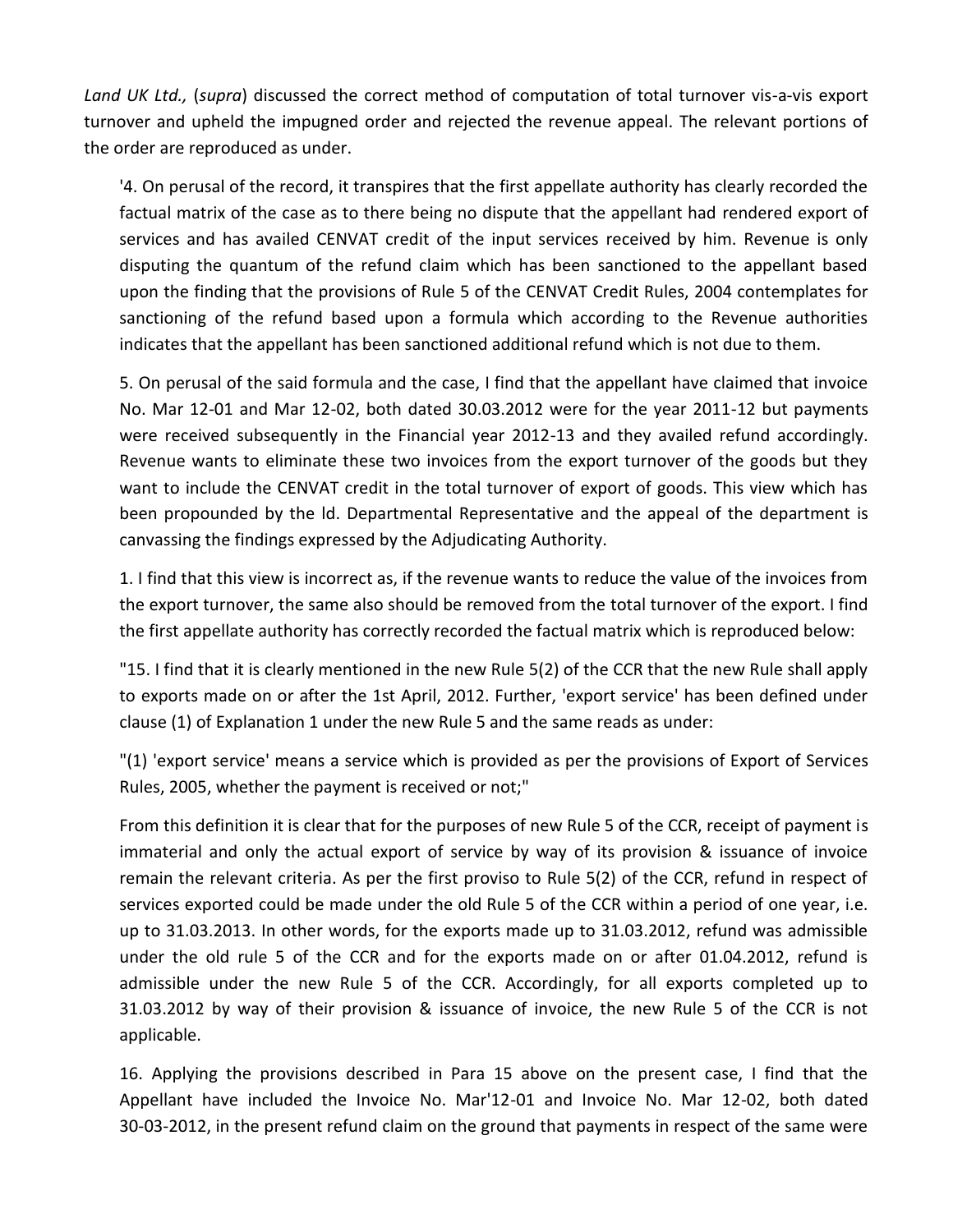*Land UK Ltd.,* (*supra*) discussed the correct method of computation of total turnover vis-a-vis export turnover and upheld the impugned order and rejected the revenue appeal. The relevant portions of the order are reproduced as under.

'4. On perusal of the record, it transpires that the first appellate authority has clearly recorded the factual matrix of the case as to there being no dispute that the appellant had rendered export of services and has availed CENVAT credit of the input services received by him. Revenue is only disputing the quantum of the refund claim which has been sanctioned to the appellant based upon the finding that the provisions of Rule 5 of the CENVAT Credit Rules, 2004 contemplates for sanctioning of the refund based upon a formula which according to the Revenue authorities indicates that the appellant has been sanctioned additional refund which is not due to them.

5. On perusal of the said formula and the case, I find that the appellant have claimed that invoice No. Mar 12-01 and Mar 12-02, both dated 30.03.2012 were for the year 2011-12 but payments were received subsequently in the Financial year 2012-13 and they availed refund accordingly. Revenue wants to eliminate these two invoices from the export turnover of the goods but they want to include the CENVAT credit in the total turnover of export of goods. This view which has been propounded by the ld. Departmental Representative and the appeal of the department is canvassing the findings expressed by the Adjudicating Authority.

1. I find that this view is incorrect as, if the revenue wants to reduce the value of the invoices from the export turnover, the same also should be removed from the total turnover of the export. I find the first appellate authority has correctly recorded the factual matrix which is reproduced below:

"15. I find that it is clearly mentioned in the new Rule 5(2) of the CCR that the new Rule shall apply to exports made on or after the 1st April, 2012. Further, 'export service' has been defined under clause (1) of Explanation 1 under the new Rule 5 and the same reads as under:

"(1) 'export service' means a service which is provided as per the provisions of Export of Services Rules, 2005, whether the payment is received or not;"

From this definition it is clear that for the purposes of new Rule 5 of the CCR, receipt of payment is immaterial and only the actual export of service by way of its provision & issuance of invoice remain the relevant criteria. As per the first proviso to Rule 5(2) of the CCR, refund in respect of services exported could be made under the old Rule 5 of the CCR within a period of one year, i.e. up to 31.03.2013. In other words, for the exports made up to 31.03.2012, refund was admissible under the old rule 5 of the CCR and for the exports made on or after 01.04.2012, refund is admissible under the new Rule 5 of the CCR. Accordingly, for all exports completed up to 31.03.2012 by way of their provision & issuance of invoice, the new Rule 5 of the CCR is not applicable.

16. Applying the provisions described in Para 15 above on the present case, I find that the Appellant have included the Invoice No. Mar'12-01 and Invoice No. Mar 12-02, both dated 30-03-2012, in the present refund claim on the ground that payments in respect of the same were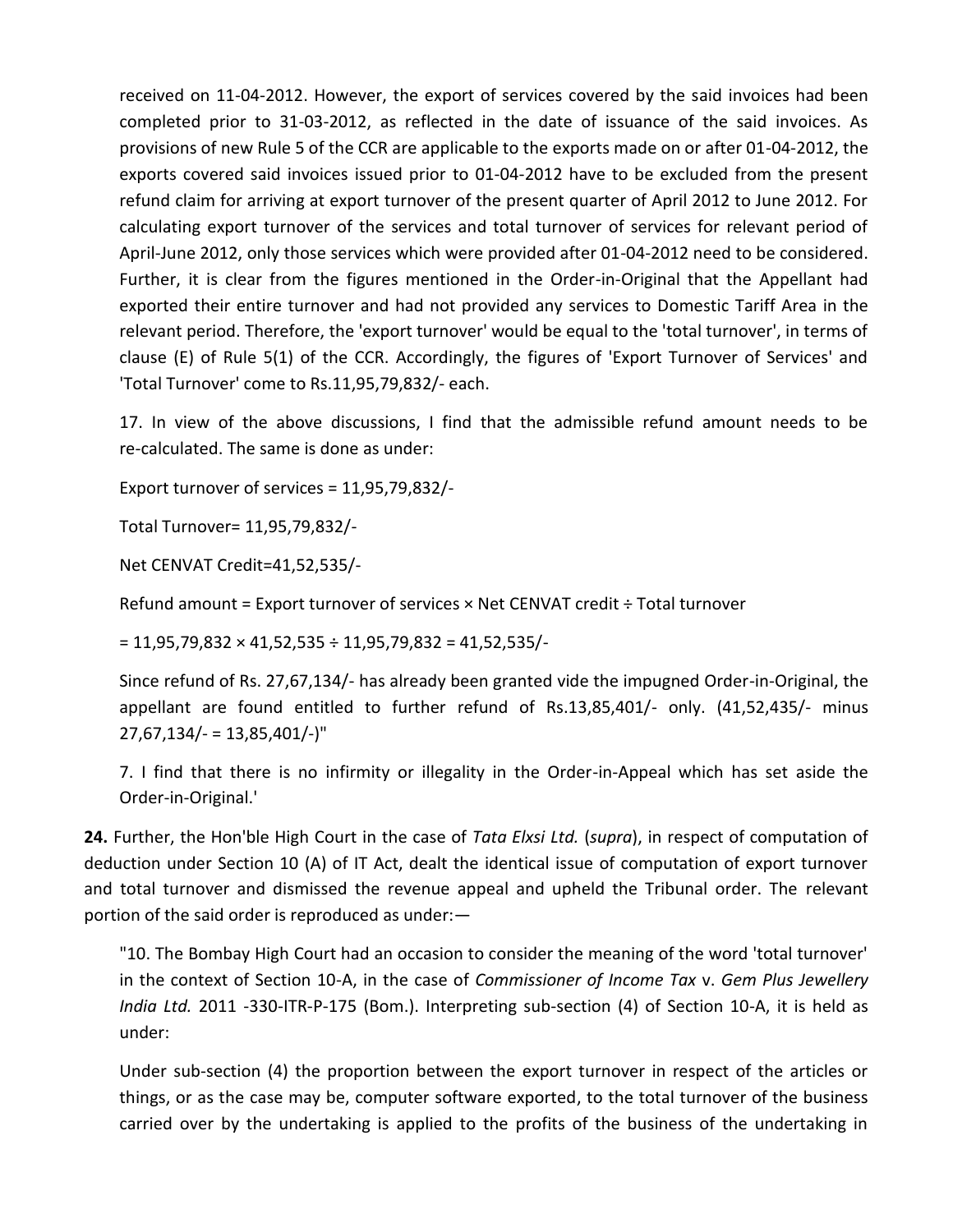received on 11-04-2012. However, the export of services covered by the said invoices had been completed prior to 31-03-2012, as reflected in the date of issuance of the said invoices. As provisions of new Rule 5 of the CCR are applicable to the exports made on or after 01-04-2012, the exports covered said invoices issued prior to 01-04-2012 have to be excluded from the present refund claim for arriving at export turnover of the present quarter of April 2012 to June 2012. For calculating export turnover of the services and total turnover of services for relevant period of April-June 2012, only those services which were provided after 01-04-2012 need to be considered. Further, it is clear from the figures mentioned in the Order-in-Original that the Appellant had exported their entire turnover and had not provided any services to Domestic Tariff Area in the relevant period. Therefore, the 'export turnover' would be equal to the 'total turnover', in terms of clause (E) of Rule 5(1) of the CCR. Accordingly, the figures of 'Export Turnover of Services' and 'Total Turnover' come to Rs.11,95,79,832/- each.

17. In view of the above discussions, I find that the admissible refund amount needs to be re-calculated. The same is done as under:

Export turnover of services = 11,95,79,832/-

Total Turnover= 11,95,79,832/-

Net CENVAT Credit=41,52,535/-

Refund amount = Export turnover of services × Net CENVAT credit ÷ Total turnover

 $= 11,95,79,832 \times 41,52,535 \div 11,95,79,832 = 41,52,535/$ 

Since refund of Rs. 27,67,134/- has already been granted vide the impugned Order-in-Original, the appellant are found entitled to further refund of Rs.13,85,401/- only. (41,52,435/- minus  $27,67,134/- = 13,85,401/-$ 

7. I find that there is no infirmity or illegality in the Order-in-Appeal which has set aside the Order-in-Original.'

**24.** Further, the Hon'ble High Court in the case of *Tata Elxsi Ltd.* (*supra*), in respect of computation of deduction under Section 10 (A) of IT Act, dealt the identical issue of computation of export turnover and total turnover and dismissed the revenue appeal and upheld the Tribunal order. The relevant portion of the said order is reproduced as under:—

"10. The Bombay High Court had an occasion to consider the meaning of the word 'total turnover' in the context of Section 10-A, in the case of *Commissioner of Income Tax* v. *Gem Plus Jewellery India Ltd.* 2011 -330-ITR-P-175 (Bom.). Interpreting sub-section (4) of Section 10-A, it is held as under:

Under sub-section (4) the proportion between the export turnover in respect of the articles or things, or as the case may be, computer software exported, to the total turnover of the business carried over by the undertaking is applied to the profits of the business of the undertaking in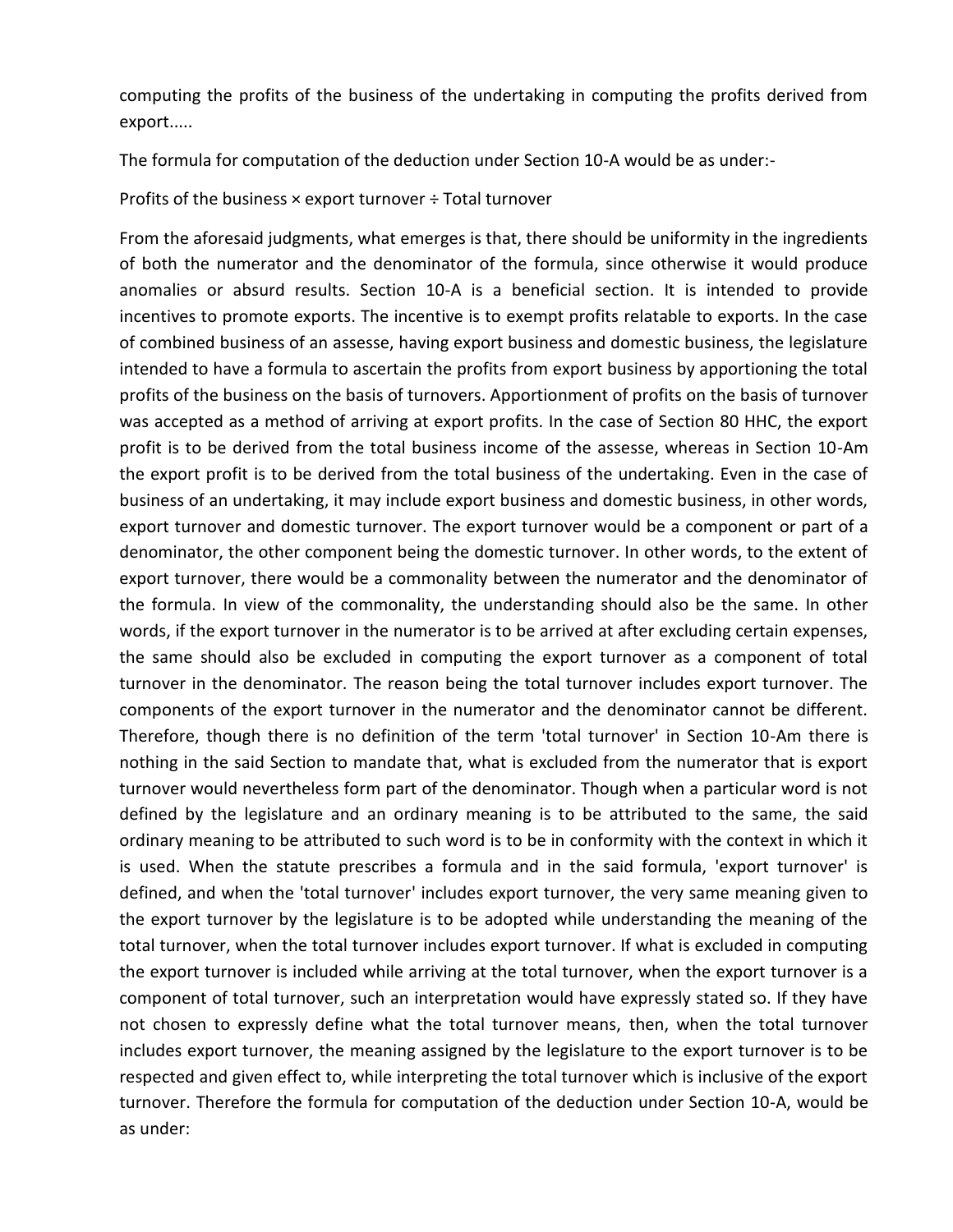computing the profits of the business of the undertaking in computing the profits derived from export.....

The formula for computation of the deduction under Section 10-A would be as under:-

Profits of the business × export turnover ÷ Total turnover

From the aforesaid judgments, what emerges is that, there should be uniformity in the ingredients of both the numerator and the denominator of the formula, since otherwise it would produce anomalies or absurd results. Section 10-A is a beneficial section. It is intended to provide incentives to promote exports. The incentive is to exempt profits relatable to exports. In the case of combined business of an assesse, having export business and domestic business, the legislature intended to have a formula to ascertain the profits from export business by apportioning the total profits of the business on the basis of turnovers. Apportionment of profits on the basis of turnover was accepted as a method of arriving at export profits. In the case of Section 80 HHC, the export profit is to be derived from the total business income of the assesse, whereas in Section 10-Am the export profit is to be derived from the total business of the undertaking. Even in the case of business of an undertaking, it may include export business and domestic business, in other words, export turnover and domestic turnover. The export turnover would be a component or part of a denominator, the other component being the domestic turnover. In other words, to the extent of export turnover, there would be a commonality between the numerator and the denominator of the formula. In view of the commonality, the understanding should also be the same. In other words, if the export turnover in the numerator is to be arrived at after excluding certain expenses, the same should also be excluded in computing the export turnover as a component of total turnover in the denominator. The reason being the total turnover includes export turnover. The components of the export turnover in the numerator and the denominator cannot be different. Therefore, though there is no definition of the term 'total turnover' in Section 10-Am there is nothing in the said Section to mandate that, what is excluded from the numerator that is export turnover would nevertheless form part of the denominator. Though when a particular word is not defined by the legislature and an ordinary meaning is to be attributed to the same, the said ordinary meaning to be attributed to such word is to be in conformity with the context in which it is used. When the statute prescribes a formula and in the said formula, 'export turnover' is defined, and when the 'total turnover' includes export turnover, the very same meaning given to the export turnover by the legislature is to be adopted while understanding the meaning of the total turnover, when the total turnover includes export turnover. If what is excluded in computing the export turnover is included while arriving at the total turnover, when the export turnover is a component of total turnover, such an interpretation would have expressly stated so. If they have not chosen to expressly define what the total turnover means, then, when the total turnover includes export turnover, the meaning assigned by the legislature to the export turnover is to be respected and given effect to, while interpreting the total turnover which is inclusive of the export turnover. Therefore the formula for computation of the deduction under Section 10-A, would be as under: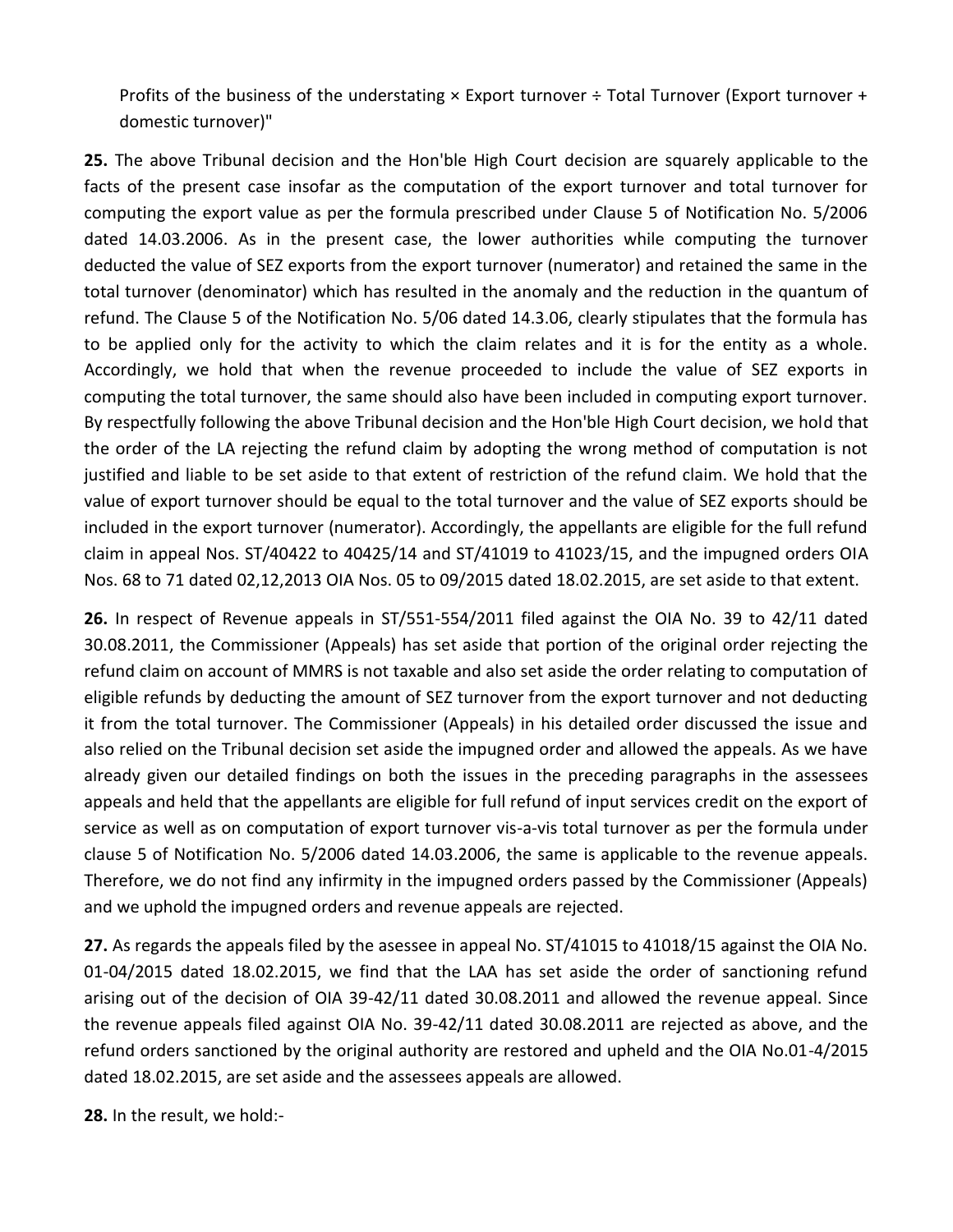Profits of the business of the understating × Export turnover ÷ Total Turnover (Export turnover + domestic turnover)"

**25.** The above Tribunal decision and the Hon'ble High Court decision are squarely applicable to the facts of the present case insofar as the computation of the export turnover and total turnover for computing the export value as per the formula prescribed under Clause 5 of Notification No. 5/2006 dated 14.03.2006. As in the present case, the lower authorities while computing the turnover deducted the value of SEZ exports from the export turnover (numerator) and retained the same in the total turnover (denominator) which has resulted in the anomaly and the reduction in the quantum of refund. The Clause 5 of the Notification No. 5/06 dated 14.3.06, clearly stipulates that the formula has to be applied only for the activity to which the claim relates and it is for the entity as a whole. Accordingly, we hold that when the revenue proceeded to include the value of SEZ exports in computing the total turnover, the same should also have been included in computing export turnover. By respectfully following the above Tribunal decision and the Hon'ble High Court decision, we hold that the order of the LA rejecting the refund claim by adopting the wrong method of computation is not justified and liable to be set aside to that extent of restriction of the refund claim. We hold that the value of export turnover should be equal to the total turnover and the value of SEZ exports should be included in the export turnover (numerator). Accordingly, the appellants are eligible for the full refund claim in appeal Nos. ST/40422 to 40425/14 and ST/41019 to 41023/15, and the impugned orders OIA Nos. 68 to 71 dated 02,12,2013 OIA Nos. 05 to 09/2015 dated 18.02.2015, are set aside to that extent.

**26.** In respect of Revenue appeals in ST/551-554/2011 filed against the OIA No. 39 to 42/11 dated 30.08.2011, the Commissioner (Appeals) has set aside that portion of the original order rejecting the refund claim on account of MMRS is not taxable and also set aside the order relating to computation of eligible refunds by deducting the amount of SEZ turnover from the export turnover and not deducting it from the total turnover. The Commissioner (Appeals) in his detailed order discussed the issue and also relied on the Tribunal decision set aside the impugned order and allowed the appeals. As we have already given our detailed findings on both the issues in the preceding paragraphs in the assessees appeals and held that the appellants are eligible for full refund of input services credit on the export of service as well as on computation of export turnover vis-a-vis total turnover as per the formula under clause 5 of Notification No. 5/2006 dated 14.03.2006, the same is applicable to the revenue appeals. Therefore, we do not find any infirmity in the impugned orders passed by the Commissioner (Appeals) and we uphold the impugned orders and revenue appeals are rejected.

**27.** As regards the appeals filed by the asessee in appeal No. ST/41015 to 41018/15 against the OIA No. 01-04/2015 dated 18.02.2015, we find that the LAA has set aside the order of sanctioning refund arising out of the decision of OIA 39-42/11 dated 30.08.2011 and allowed the revenue appeal. Since the revenue appeals filed against OIA No. 39-42/11 dated 30.08.2011 are rejected as above, and the refund orders sanctioned by the original authority are restored and upheld and the OIA No.01-4/2015 dated 18.02.2015, are set aside and the assessees appeals are allowed.

**28.** In the result, we hold:-